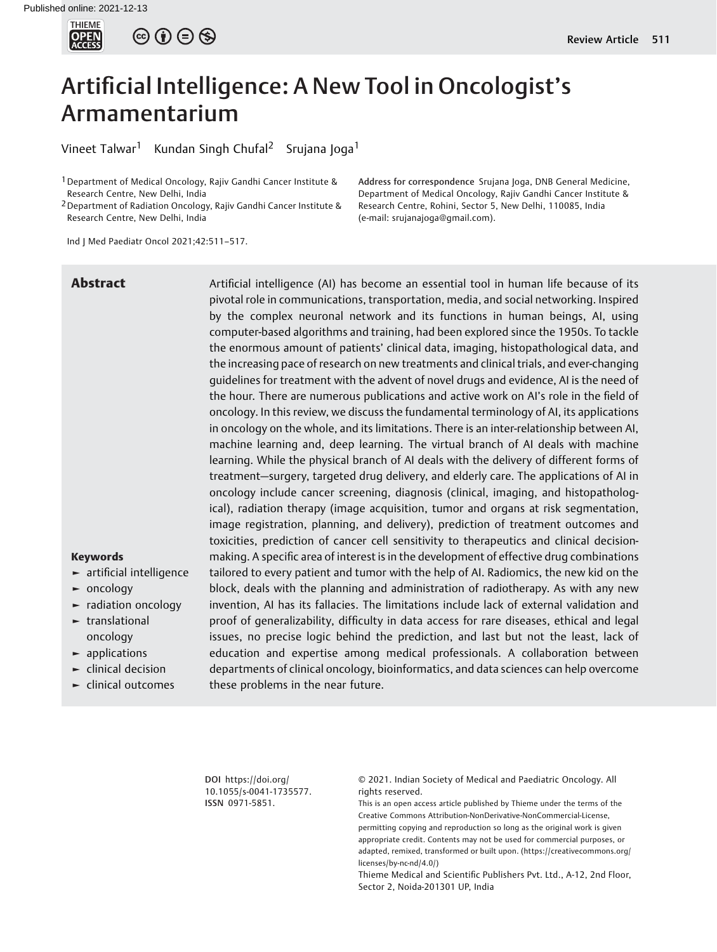

 $\circledcirc \circledcirc \circledcirc$ 

# Artificial Intelligence: A New Tool in Oncologist's Armamentarium

Vineet Talwar<sup>1</sup> Kundan Singh Chufal<sup>2</sup> Srujana Joga<sup>1</sup>

<sup>1</sup> Department of Medical Oncology, Rajiv Gandhi Cancer Institute & Research Centre, New Delhi, India

2Department of Radiation Oncology, Rajiv Gandhi Cancer Institute & Research Centre, New Delhi, India

Ind J Med Paediatr Oncol 2021;42:511–517.

Address for correspondence Srujana Joga, DNB General Medicine, Department of Medical Oncology, Rajiv Gandhi Cancer Institute & Research Centre, Rohini, Sector 5, New Delhi, 110085, India (e-mail: [srujanajoga@gmail.com](mailto:srujanajoga@gmail.com)).

**Abstract** Artificial intelligence (AI) has become an essential tool in human life because of its pivotal role in communications, transportation, media, and social networking. Inspired by the complex neuronal network and its functions in human beings, AI, using computer-based algorithms and training, had been explored since the 1950s. To tackle the enormous amount of patients' clinical data, imaging, histopathological data, and the increasing pace of research on new treatments and clinical trials, and ever-changing guidelines for treatment with the advent of novel drugs and evidence, AI is the need of the hour. There are numerous publications and active work on AI's role in the field of oncology. In this review, we discuss the fundamental terminology of AI, its applications in oncology on the whole, and its limitations. There is an inter-relationship between AI, machine learning and, deep learning. The virtual branch of AI deals with machine learning. While the physical branch of AI deals with the delivery of different forms of treatment—surgery, targeted drug delivery, and elderly care. The applications of AI in oncology include cancer screening, diagnosis (clinical, imaging, and histopathological), radiation therapy (image acquisition, tumor and organs at risk segmentation, image registration, planning, and delivery), prediction of treatment outcomes and toxicities, prediction of cancer cell sensitivity to therapeutics and clinical decisionmaking. A specific area of interest is in the development of effective drug combinations tailored to every patient and tumor with the help of AI. Radiomics, the new kid on the block, deals with the planning and administration of radiotherapy. As with any new invention, AI has its fallacies. The limitations include lack of external validation and proof of generalizability, difficulty in data access for rare diseases, ethical and legal issues, no precise logic behind the prediction, and last but not the least, lack of education and expertise among medical professionals. A collaboration between departments of clinical oncology, bioinformatics, and data sciences can help overcome these problems in the near future.

### Keywords

- ► artificial intelligence
- ► oncology
- ► radiation oncology
- ► translational oncology
- ► applications
- ► clinical decision
- ► clinical outcomes

DOI [https://doi.org/](https://doi.org/10.1055/s-0041-1735577) [10.1055/s-0041-1735577](https://doi.org/10.1055/s-0041-1735577). ISSN 0971-5851.

© 2021. Indian Society of Medical and Paediatric Oncology. All rights reserved.

This is an open access article published by Thieme under the terms of the Creative Commons Attribution-NonDerivative-NonCommercial-License, permitting copying and reproduction so long as the original work is given appropriate credit. Contents may not be used for commercial purposes, or adapted, remixed, transformed or built upon. (https://creativecommons.org/ licenses/by-nc-nd/4.0/)

Thieme Medical and Scientific Publishers Pvt. Ltd., A-12, 2nd Floor, Sector 2, Noida-201301 UP, India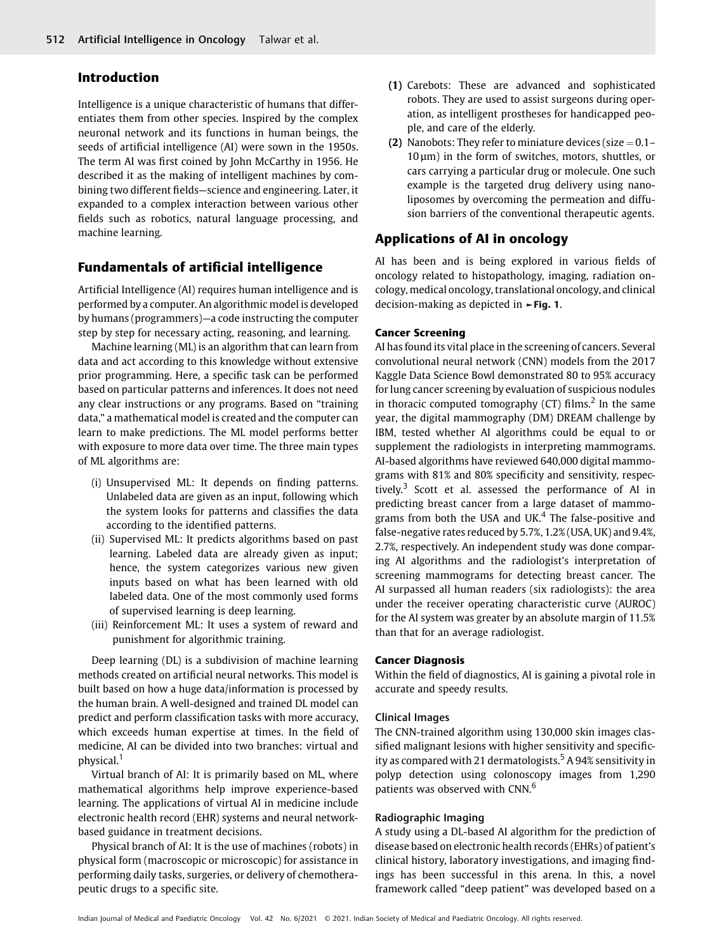# Introduction

Intelligence is a unique characteristic of humans that differentiates them from other species. Inspired by the complex neuronal network and its functions in human beings, the seeds of artificial intelligence (AI) were sown in the 1950s. The term AI was first coined by John McCarthy in 1956. He described it as the making of intelligent machines by combining two different fields—science and engineering. Later, it expanded to a complex interaction between various other fields such as robotics, natural language processing, and machine learning.

# Fundamentals of artificial intelligence

Artificial Intelligence (AI) requires human intelligence and is performed by a computer. An algorithmic model is developed by humans (programmers)—a code instructing the computer step by step for necessary acting, reasoning, and learning.

Machine learning (ML) is an algorithm that can learn from data and act according to this knowledge without extensive prior programming. Here, a specific task can be performed based on particular patterns and inferences. It does not need any clear instructions or any programs. Based on "training data," a mathematical model is created and the computer can learn to make predictions. The ML model performs better with exposure to more data over time. The three main types of ML algorithms are:

- (i) Unsupervised ML: It depends on finding patterns. Unlabeled data are given as an input, following which the system looks for patterns and classifies the data according to the identified patterns.
- (ii) Supervised ML: It predicts algorithms based on past learning. Labeled data are already given as input; hence, the system categorizes various new given inputs based on what has been learned with old labeled data. One of the most commonly used forms of supervised learning is deep learning.
- (iii) Reinforcement ML: It uses a system of reward and punishment for algorithmic training.

Deep learning (DL) is a subdivision of machine learning methods created on artificial neural networks. This model is built based on how a huge data/information is processed by the human brain. A well-designed and trained DL model can predict and perform classification tasks with more accuracy, which exceeds human expertise at times. In the field of medicine, AI can be divided into two branches: virtual and physical.<sup>1</sup>

Virtual branch of AI: It is primarily based on ML, where mathematical algorithms help improve experience-based learning. The applications of virtual AI in medicine include electronic health record (EHR) systems and neural networkbased guidance in treatment decisions.

Physical branch of AI: It is the use of machines (robots) in physical form (macroscopic or microscopic) for assistance in performing daily tasks, surgeries, or delivery of chemotherapeutic drugs to a specific site.

- (1) Carebots: These are advanced and sophisticated robots. They are used to assist surgeons during operation, as intelligent prostheses for handicapped people, and care of the elderly.
- (2) Nanobots: They refer to miniature devices (size  $= 0.1 10 \mu m$ ) in the form of switches, motors, shuttles, or cars carrying a particular drug or molecule. One such example is the targeted drug delivery using nanoliposomes by overcoming the permeation and diffusion barriers of the conventional therapeutic agents.

# Applications of AI in oncology

AI has been and is being explored in various fields of oncology related to histopathology, imaging, radiation oncology, medical oncology, translational oncology, and clinical decision-making as depicted in  $\blacktriangleright$  Fig. 1.

#### Cancer Screening

AI has found its vital place in the screening of cancers. Several convolutional neural network (CNN) models from the 2017 Kaggle Data Science Bowl demonstrated 80 to 95% accuracy for lung cancer screening by evaluation of suspicious nodules in thoracic computed tomography  $(CT)$  films.<sup>2</sup> In the same year, the digital mammography (DM) DREAM challenge by IBM, tested whether AI algorithms could be equal to or supplement the radiologists in interpreting mammograms. AI-based algorithms have reviewed 640,000 digital mammograms with 81% and 80% specificity and sensitivity, respectively.<sup>3</sup> Scott et al. assessed the performance of AI in predicting breast cancer from a large dataset of mammograms from both the USA and UK. $4$  The false-positive and false-negative rates reduced by 5.7%, 1.2% (USA, UK) and 9.4%, 2.7%, respectively. An independent study was done comparing AI algorithms and the radiologist's interpretation of screening mammograms for detecting breast cancer. The AI surpassed all human readers (six radiologists): the area under the receiver operating characteristic curve (AUROC) for the AI system was greater by an absolute margin of 11.5% than that for an average radiologist.

#### Cancer Diagnosis

Within the field of diagnostics, AI is gaining a pivotal role in accurate and speedy results.

### Clinical Images

The CNN-trained algorithm using 130,000 skin images classified malignant lesions with higher sensitivity and specificity as compared with 21 dermatologists.<sup>5</sup> A 94% sensitivity in polyp detection using colonoscopy images from 1,290 patients was observed with CNN.<sup>6</sup>

#### Radiographic Imaging

A study using a DL-based AI algorithm for the prediction of disease based on electronic health records (EHRs) of patient's clinical history, laboratory investigations, and imaging findings has been successful in this arena. In this, a novel framework called "deep patient" was developed based on a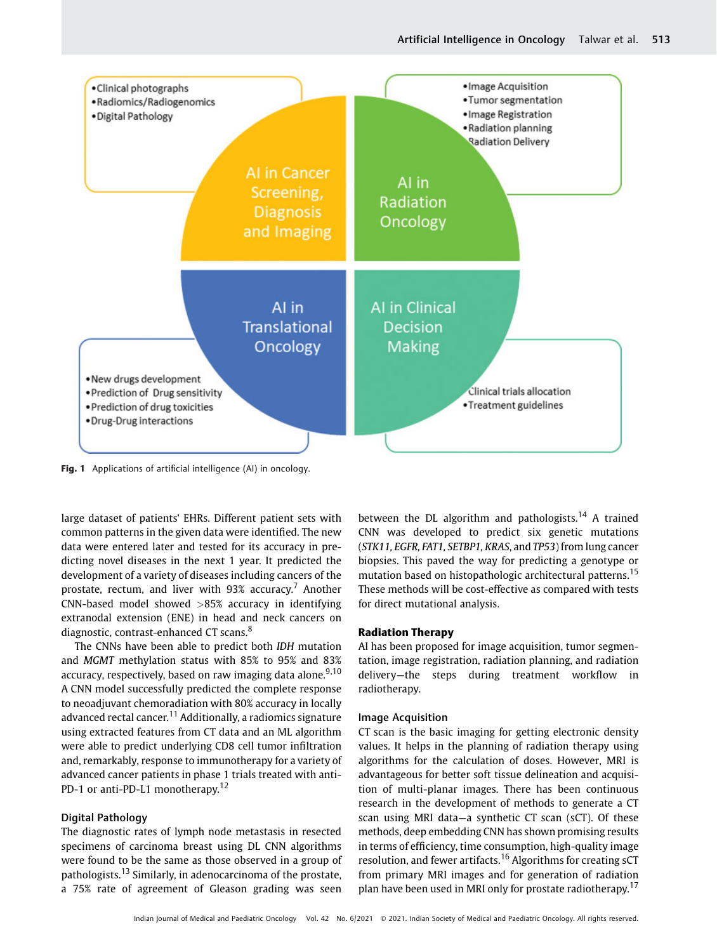

Fig. 1 Applications of artificial intelligence (AI) in oncology.

large dataset of patients' EHRs. Different patient sets with common patterns in the given data were identified. The new data were entered later and tested for its accuracy in predicting novel diseases in the next 1 year. It predicted the development of a variety of diseases including cancers of the prostate, rectum, and liver with  $93\%$  accuracy.<sup>7</sup> Another CNN-based model showed  $>85%$  accuracy in identifying extranodal extension (ENE) in head and neck cancers on diagnostic, contrast-enhanced CT scans.<sup>8</sup>

The CNNs have been able to predict both IDH mutation and MGMT methylation status with 85% to 95% and 83% accuracy, respectively, based on raw imaging data alone.<sup>9,10</sup> A CNN model successfully predicted the complete response to neoadjuvant chemoradiation with 80% accuracy in locally advanced rectal cancer.<sup>11</sup> Additionally, a radiomics signature using extracted features from CT data and an ML algorithm were able to predict underlying CD8 cell tumor infiltration and, remarkably, response to immunotherapy for a variety of advanced cancer patients in phase 1 trials treated with anti-PD-1 or anti-PD-L1 monotherapy.<sup>12</sup>

#### Digital Pathology

The diagnostic rates of lymph node metastasis in resected specimens of carcinoma breast using DL CNN algorithms were found to be the same as those observed in a group of pathologists.<sup>13</sup> Similarly, in adenocarcinoma of the prostate, a 75% rate of agreement of Gleason grading was seen

between the DL algorithm and pathologists.<sup>14</sup> A trained CNN was developed to predict six genetic mutations (STK11, EGFR, FAT1, SETBP1, KRAS, and TP53) from lung cancer biopsies. This paved the way for predicting a genotype or mutation based on histopathologic architectural patterns.<sup>15</sup> These methods will be cost-effective as compared with tests for direct mutational analysis.

### Radiation Therapy

AI has been proposed for image acquisition, tumor segmentation, image registration, radiation planning, and radiation delivery—the steps during treatment workflow in radiotherapy.

#### Image Acquisition

CT scan is the basic imaging for getting electronic density values. It helps in the planning of radiation therapy using algorithms for the calculation of doses. However, MRI is advantageous for better soft tissue delineation and acquisition of multi-planar images. There has been continuous research in the development of methods to generate a CT scan using MRI data—a synthetic CT scan (sCT). Of these methods, deep embedding CNN has shown promising results in terms of efficiency, time consumption, high-quality image resolution, and fewer artifacts.<sup>16</sup> Algorithms for creating sCT from primary MRI images and for generation of radiation plan have been used in MRI only for prostate radiotherapy.<sup>17</sup>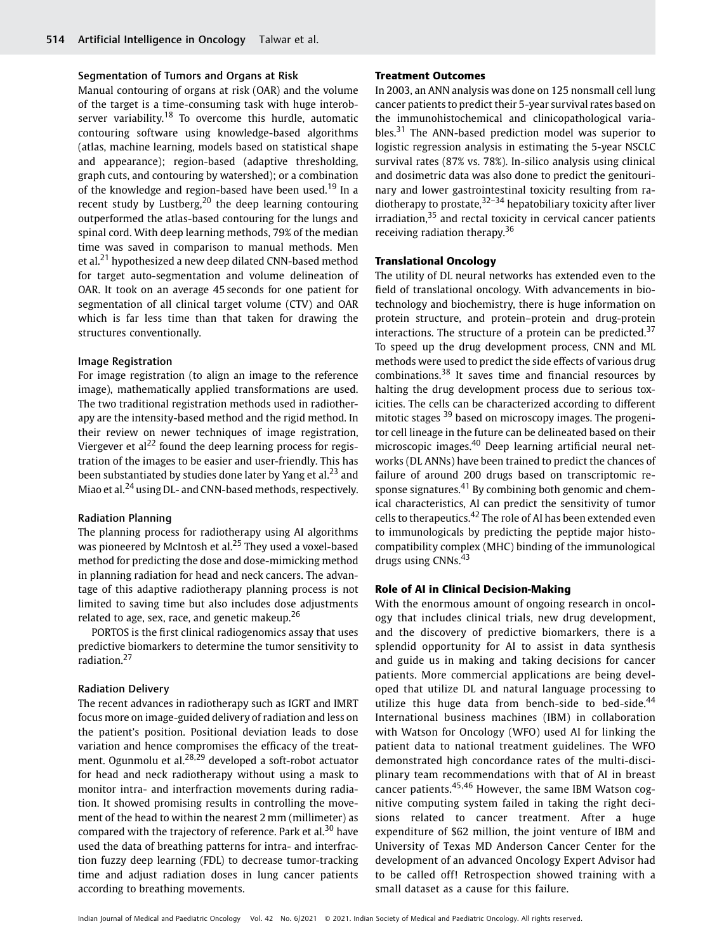#### Segmentation of Tumors and Organs at Risk

Manual contouring of organs at risk (OAR) and the volume of the target is a time-consuming task with huge interobserver variability.<sup>18</sup> To overcome this hurdle, automatic contouring software using knowledge-based algorithms (atlas, machine learning, models based on statistical shape and appearance); region-based (adaptive thresholding, graph cuts, and contouring by watershed); or a combination of the knowledge and region-based have been used.<sup>19</sup> In a recent study by Lustberg, $^{20}$  the deep learning contouring outperformed the atlas-based contouring for the lungs and spinal cord. With deep learning methods, 79% of the median time was saved in comparison to manual methods. Men et al.<sup>21</sup> hypothesized a new deep dilated CNN-based method for target auto-segmentation and volume delineation of OAR. It took on an average 45 seconds for one patient for segmentation of all clinical target volume (CTV) and OAR which is far less time than that taken for drawing the structures conventionally.

#### Image Registration

For image registration (to align an image to the reference image), mathematically applied transformations are used. The two traditional registration methods used in radiotherapy are the intensity-based method and the rigid method. In their review on newer techniques of image registration, Viergever et al<sup>22</sup> found the deep learning process for registration of the images to be easier and user-friendly. This has been substantiated by studies done later by Yang et al. $^{23}$  and Miao et al.<sup>24</sup> using DL- and CNN-based methods, respectively.

# Radiation Planning

The planning process for radiotherapy using AI algorithms was pioneered by McIntosh et al.<sup>25</sup> They used a voxel-based method for predicting the dose and dose-mimicking method in planning radiation for head and neck cancers. The advantage of this adaptive radiotherapy planning process is not limited to saving time but also includes dose adjustments related to age, sex, race, and genetic makeup. $26$ 

PORTOS is the first clinical radiogenomics assay that uses predictive biomarkers to determine the tumor sensitivity to radiation.<sup>27</sup>

#### Radiation Delivery

The recent advances in radiotherapy such as IGRT and IMRT focus more on image-guided delivery of radiation and less on the patient's position. Positional deviation leads to dose variation and hence compromises the efficacy of the treatment. Ogunmolu et al.<sup>28,29</sup> developed a soft-robot actuator for head and neck radiotherapy without using a mask to monitor intra- and interfraction movements during radiation. It showed promising results in controlling the movement of the head to within the nearest 2 mm (millimeter) as compared with the trajectory of reference. Park et al.<sup>30</sup> have used the data of breathing patterns for intra- and interfraction fuzzy deep learning (FDL) to decrease tumor-tracking time and adjust radiation doses in lung cancer patients according to breathing movements.

#### Treatment Outcomes

In 2003, an ANN analysis was done on 125 nonsmall cell lung cancer patients to predict their 5-year survival rates based on the immunohistochemical and clinicopathological variables.<sup>31</sup> The ANN-based prediction model was superior to logistic regression analysis in estimating the 5-year NSCLC survival rates (87% vs. 78%). In-silico analysis using clinical and dosimetric data was also done to predict the genitourinary and lower gastrointestinal toxicity resulting from radiotherapy to prostate,  $32-34$  hepatobiliary toxicity after liver irradiation,<sup>35</sup> and rectal toxicity in cervical cancer patients receiving radiation therapy.<sup>36</sup>

# Translational Oncology

The utility of DL neural networks has extended even to the field of translational oncology. With advancements in biotechnology and biochemistry, there is huge information on protein structure, and protein–protein and drug-protein interactions. The structure of a protein can be predicted.<sup>37</sup> To speed up the drug development process, CNN and ML methods were used to predict the side effects of various drug combinations.<sup>38</sup> It saves time and financial resources by halting the drug development process due to serious toxicities. The cells can be characterized according to different mitotic stages <sup>39</sup> based on microscopy images. The progenitor cell lineage in the future can be delineated based on their microscopic images.<sup>40</sup> Deep learning artificial neural networks (DL ANNs) have been trained to predict the chances of failure of around 200 drugs based on transcriptomic response signatures. $41$  By combining both genomic and chemical characteristics, AI can predict the sensitivity of tumor cells to therapeutics.<sup>42</sup> The role of AI has been extended even to immunologicals by predicting the peptide major histocompatibility complex (MHC) binding of the immunological drugs using CNNs.<sup>43</sup>

### Role of AI in Clinical Decision-Making

With the enormous amount of ongoing research in oncology that includes clinical trials, new drug development, and the discovery of predictive biomarkers, there is a splendid opportunity for AI to assist in data synthesis and guide us in making and taking decisions for cancer patients. More commercial applications are being developed that utilize DL and natural language processing to utilize this huge data from bench-side to bed-side. $44$ International business machines (IBM) in collaboration with Watson for Oncology (WFO) used AI for linking the patient data to national treatment guidelines. The WFO demonstrated high concordance rates of the multi-disciplinary team recommendations with that of AI in breast cancer patients.45,46 However, the same IBM Watson cognitive computing system failed in taking the right decisions related to cancer treatment. After a huge expenditure of \$62 million, the joint venture of IBM and University of Texas MD Anderson Cancer Center for the development of an advanced Oncology Expert Advisor had to be called off! Retrospection showed training with a small dataset as a cause for this failure.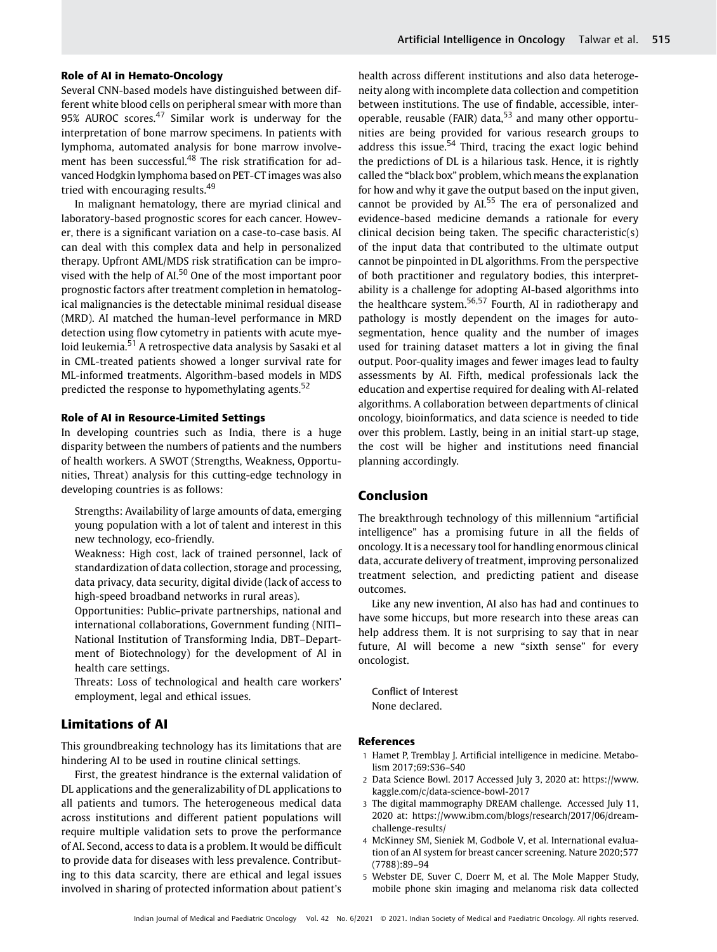#### Role of AI in Hemato-Oncology

Several CNN-based models have distinguished between different white blood cells on peripheral smear with more than 95% AUROC scores.<sup>47</sup> Similar work is underway for the interpretation of bone marrow specimens. In patients with lymphoma, automated analysis for bone marrow involvement has been successful.<sup>48</sup> The risk stratification for advanced Hodgkin lymphoma based on PET-CT images was also tried with encouraging results.<sup>49</sup>

In malignant hematology, there are myriad clinical and laboratory-based prognostic scores for each cancer. However, there is a significant variation on a case-to-case basis. AI can deal with this complex data and help in personalized therapy. Upfront AML/MDS risk stratification can be improvised with the help of AI.<sup>50</sup> One of the most important poor prognostic factors after treatment completion in hematological malignancies is the detectable minimal residual disease (MRD). AI matched the human-level performance in MRD detection using flow cytometry in patients with acute myeloid leukemia.<sup>51</sup> A retrospective data analysis by Sasaki et al in CML-treated patients showed a longer survival rate for ML-informed treatments. Algorithm-based models in MDS predicted the response to hypomethylating agents.<sup>52</sup>

# Role of AI in Resource-Limited Settings

In developing countries such as India, there is a huge disparity between the numbers of patients and the numbers of health workers. A SWOT (Strengths, Weakness, Opportunities, Threat) analysis for this cutting-edge technology in developing countries is as follows:

Strengths: Availability of large amounts of data, emerging young population with a lot of talent and interest in this new technology, eco-friendly.

Weakness: High cost, lack of trained personnel, lack of standardization of data collection, storage and processing, data privacy, data security, digital divide (lack of access to high-speed broadband networks in rural areas).

Opportunities: Public–private partnerships, national and international collaborations, Government funding (NITI– National Institution of Transforming India, DBT–Department of Biotechnology) for the development of AI in health care settings.

Threats: Loss of technological and health care workers' employment, legal and ethical issues.

# Limitations of AI

This groundbreaking technology has its limitations that are hindering AI to be used in routine clinical settings.

First, the greatest hindrance is the external validation of DL applications and the generalizability of DL applications to all patients and tumors. The heterogeneous medical data across institutions and different patient populations will require multiple validation sets to prove the performance of AI. Second, access to data is a problem. It would be difficult to provide data for diseases with less prevalence. Contributing to this data scarcity, there are ethical and legal issues involved in sharing of protected information about patient's

health across different institutions and also data heterogeneity along with incomplete data collection and competition between institutions. The use of findable, accessible, interoperable, reusable (FAIR) data, $53$  and many other opportunities are being provided for various research groups to address this issue. $54$  Third, tracing the exact logic behind the predictions of DL is a hilarious task. Hence, it is rightly called the "black box" problem, which means the explanation for how and why it gave the output based on the input given, cannot be provided by AI.<sup>55</sup> The era of personalized and evidence-based medicine demands a rationale for every clinical decision being taken. The specific characteristic(s) of the input data that contributed to the ultimate output cannot be pinpointed in DL algorithms. From the perspective of both practitioner and regulatory bodies, this interpretability is a challenge for adopting AI-based algorithms into the healthcare system.56,57 Fourth, AI in radiotherapy and pathology is mostly dependent on the images for autosegmentation, hence quality and the number of images used for training dataset matters a lot in giving the final output. Poor-quality images and fewer images lead to faulty assessments by AI. Fifth, medical professionals lack the education and expertise required for dealing with AI-related algorithms. A collaboration between departments of clinical oncology, bioinformatics, and data science is needed to tide over this problem. Lastly, being in an initial start-up stage, the cost will be higher and institutions need financial planning accordingly.

# Conclusion

The breakthrough technology of this millennium "artificial intelligence" has a promising future in all the fields of oncology. It is a necessary tool for handling enormous clinical data, accurate delivery of treatment, improving personalized treatment selection, and predicting patient and disease outcomes.

Like any new invention, AI also has had and continues to have some hiccups, but more research into these areas can help address them. It is not surprising to say that in near future, AI will become a new "sixth sense" for every oncologist.

Conflict of Interest None declared.

#### References

- 1 Hamet P, Tremblay J. Artificial intelligence in medicine. Metabolism 2017;69:S36–S40
- 2 Data Science Bowl. 2017 Accessed July 3, 2020 at: [https://www.](https://www.kaggle.com/c/data-science-bowl-2017) [kaggle.com/c/data-science-bowl-2017](https://www.kaggle.com/c/data-science-bowl-2017)
- 3 The digital mammography DREAM challenge. Accessed July 11, 2020 at: [https://www.ibm.com/blogs/research/2017/06/dream](https://www.ibm.com/blogs/research/2017/06/dream-challenge-results/)[challenge-results/](https://www.ibm.com/blogs/research/2017/06/dream-challenge-results/)
- 4 McKinney SM, Sieniek M, Godbole V, et al. International evaluation of an AI system for breast cancer screening. Nature 2020;577 (7788):89–94
- 5 Webster DE, Suver C, Doerr M, et al. The Mole Mapper Study, mobile phone skin imaging and melanoma risk data collected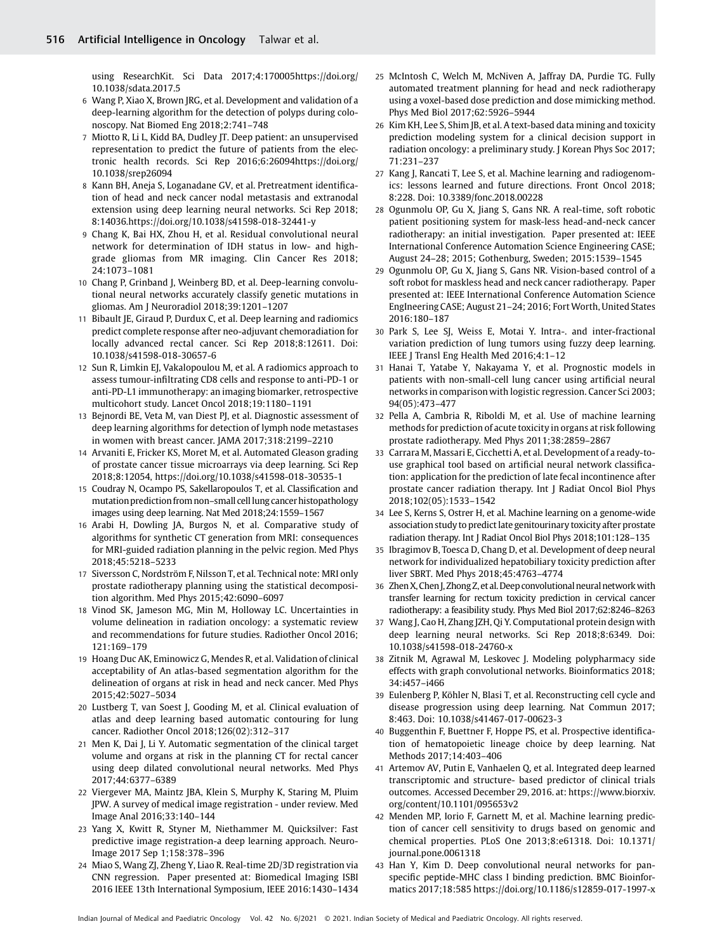using ResearchKit. Sci Data 2017;4:17000[5https://doi.org/](https://doi.org/10.1038/sdata.2017.5) [10.1038/sdata.2017.5](https://doi.org/10.1038/sdata.2017.5)

- 6 Wang P, Xiao X, Brown JRG, et al. Development and validation of a deep-learning algorithm for the detection of polyps during colonoscopy. Nat Biomed Eng 2018;2:741–748
- 7 Miotto R, Li L, Kidd BA, Dudley JT. Deep patient: an unsupervised representation to predict the future of patients from the electronic health records. Sci Rep 2016;6:2609[4https://doi.org/](https://doi.org/10.1038/srep26094) [10.1038/srep26094](https://doi.org/10.1038/srep26094)
- 8 Kann BH, Aneja S, Loganadane GV, et al. Pretreatment identification of head and neck cancer nodal metastasis and extranodal extension using deep learning neural networks. Sci Rep 2018; 8:14036.<https://doi.org/10.1038/s41598-018-32441-y>
- 9 Chang K, Bai HX, Zhou H, et al. Residual convolutional neural network for determination of IDH status in low- and highgrade gliomas from MR imaging. Clin Cancer Res 2018; 24:1073–1081
- 10 Chang P, Grinband J, Weinberg BD, et al. Deep-learning convolutional neural networks accurately classify genetic mutations in gliomas. Am J Neuroradiol 2018;39:1201–1207
- 11 Bibault JE, Giraud P, Durdux C, et al. Deep learning and radiomics predict complete response after neo-adjuvant chemoradiation for locally advanced rectal cancer. Sci Rep 2018;8:12611. Doi: 10.1038/s41598-018-30657-6
- 12 Sun R, Limkin EJ, Vakalopoulou M, et al. A radiomics approach to assess tumour-infiltrating CD8 cells and response to anti-PD-1 or anti-PD-L1 immunotherapy: an imaging biomarker, retrospective multicohort study. Lancet Oncol 2018;19:1180–1191
- 13 Bejnordi BE, Veta M, van Diest PJ, et al. Diagnostic assessment of deep learning algorithms for detection of lymph node metastases in women with breast cancer. JAMA 2017;318:2199–2210
- 14 Arvaniti E, Fricker KS, Moret M, et al. Automated Gleason grading of prostate cancer tissue microarrays via deep learning. Sci Rep 2018;8:12054,<https://doi.org/10.1038/s41598-018-30535-1>
- 15 Coudray N, Ocampo PS, Sakellaropoulos T, et al. Classification and mutation prediction from non–small celllung cancer histopathology images using deep learning. Nat Med 2018;24:1559–1567
- 16 Arabi H, Dowling JA, Burgos N, et al. Comparative study of algorithms for synthetic CT generation from MRI: consequences for MRI-guided radiation planning in the pelvic region. Med Phys 2018;45:5218–5233
- 17 Siversson C, Nordström F, Nilsson T, et al. Technical note: MRI only prostate radiotherapy planning using the statistical decomposition algorithm. Med Phys 2015;42:6090–6097
- 18 Vinod SK, Jameson MG, Min M, Holloway LC. Uncertainties in volume delineation in radiation oncology: a systematic review and recommendations for future studies. Radiother Oncol 2016; 121:169–179
- 19 Hoang Duc AK, Eminowicz G, Mendes R, et al. Validation of clinical acceptability of An atlas-based segmentation algorithm for the delineation of organs at risk in head and neck cancer. Med Phys 2015;42:5027–5034
- 20 Lustberg T, van Soest J, Gooding M, et al. Clinical evaluation of atlas and deep learning based automatic contouring for lung cancer. Radiother Oncol 2018;126(02):312–317
- 21 Men K, Dai J, Li Y. Automatic segmentation of the clinical target volume and organs at risk in the planning CT for rectal cancer using deep dilated convolutional neural networks. Med Phys 2017;44:6377–6389
- 22 Viergever MA, Maintz JBA, Klein S, Murphy K, Staring M, Pluim JPW. A survey of medical image registration - under review. Med Image Anal 2016;33:140–144
- 23 Yang X, Kwitt R, Styner M, Niethammer M. Quicksilver: Fast predictive image registration-a deep learning approach. Neuro-Image 2017 Sep 1;158:378–396
- 24 Miao S, Wang ZJ, Zheng Y, Liao R. Real-time 2D/3D registration via CNN regression. Paper presented at: Biomedical Imaging ISBI 2016 IEEE 13th International Symposium, IEEE 2016:1430–1434
- 25 McIntosh C, Welch M, McNiven A, Jaffray DA, Purdie TG. Fully automated treatment planning for head and neck radiotherapy using a voxel-based dose prediction and dose mimicking method. Phys Med Biol 2017;62:5926–5944
- 26 Kim KH, Lee S, Shim JB, et al. A text-based data mining and toxicity prediction modeling system for a clinical decision support in radiation oncology: a preliminary study. J Korean Phys Soc 2017; 71:231–237
- 27 Kang J, Rancati T, Lee S, et al. Machine learning and radiogenomics: lessons learned and future directions. Front Oncol 2018; 8:228. Doi: 10.3389/fonc.2018.00228
- 28 Ogunmolu OP, Gu X, Jiang S, Gans NR. A real-time, soft robotic patient positioning system for mask-less head-and-neck cancer radiotherapy: an initial investigation. Paper presented at: IEEE International Conference Automation Science Engineering CASE; August 24–28; 2015; Gothenburg, Sweden; 2015:1539–1545
- 29 Ogunmolu OP, Gu X, Jiang S, Gans NR. Vision-based control of a soft robot for maskless head and neck cancer radiotherapy. Paper presented at: IEEE International Conference Automation Science EngIneering CASE; August 21–24; 2016; Fort Worth, United States 2016:180–187
- 30 Park S, Lee SJ, Weiss E, Motai Y. Intra-. and inter-fractional variation prediction of lung tumors using fuzzy deep learning. IEEE J Transl Eng Health Med 2016;4:1–12
- 31 Hanai T, Yatabe Y, Nakayama Y, et al. Prognostic models in patients with non-small-cell lung cancer using artificial neural networks in comparison with logistic regression. Cancer Sci 2003; 94(05):473–477
- 32 Pella A, Cambria R, Riboldi M, et al. Use of machine learning methods for prediction of acute toxicity in organs at risk following prostate radiotherapy. Med Phys 2011;38:2859–2867
- 33 Carrara M, Massari E, Cicchetti A, et al. Development of a ready-touse graphical tool based on artificial neural network classification: application for the prediction of late fecal incontinence after prostate cancer radiation therapy. Int J Radiat Oncol Biol Phys 2018;102(05):1533–1542
- 34 Lee S, Kerns S, Ostrer H, et al. Machine learning on a genome-wide association study to predict late genitourinary toxicity after prostate radiation therapy. Int J Radiat Oncol Biol Phys 2018;101:128–135
- 35 Ibragimov B, Toesca D, Chang D, et al. Development of deep neural network for individualized hepatobiliary toxicity prediction after liver SBRT. Med Phys 2018;45:4763–4774
- 36 Zhen X, Chen J, Zhong Z, et al. Deep convolutional neural network with transfer learning for rectum toxicity prediction in cervical cancer radiotherapy: a feasibility study. Phys Med Biol 2017;62:8246–8263
- 37 Wang J, Cao H, Zhang JZH, Qi Y. Computational protein design with deep learning neural networks. Sci Rep 2018;8:6349. Doi: 10.1038/s41598-018-24760-x
- 38 Zitnik M, Agrawal M, Leskovec J. Modeling polypharmacy side effects with graph convolutional networks. Bioinformatics 2018; 34:i457–i466
- 39 Eulenberg P, Köhler N, Blasi T, et al. Reconstructing cell cycle and disease progression using deep learning. Nat Commun 2017; 8:463. Doi: 10.1038/s41467-017-00623-3
- 40 Buggenthin F, Buettner F, Hoppe PS, et al. Prospective identification of hematopoietic lineage choice by deep learning. Nat Methods 2017;14:403–406
- 41 Artemov AV, Putin E, Vanhaelen Q, et al. Integrated deep learned transcriptomic and structure- based predictor of clinical trials outcomes. Accessed December 29, 2016. at: [https://www.biorxiv.](https://www.biorxiv.org/content/10.1101/095653v2) [org/content/10.1101/095653v2](https://www.biorxiv.org/content/10.1101/095653v2)
- 42 Menden MP, Iorio F, Garnett M, et al. Machine learning prediction of cancer cell sensitivity to drugs based on genomic and chemical properties. PLoS One 2013;8:e61318. Doi: 10.1371/ journal.pone.0061318
- 43 Han Y, Kim D. Deep convolutional neural networks for panspecific peptide-MHC class I binding prediction. BMC Bioinformatics 2017;18:585<https://doi.org/10.1186/s12859-017-1997-x>